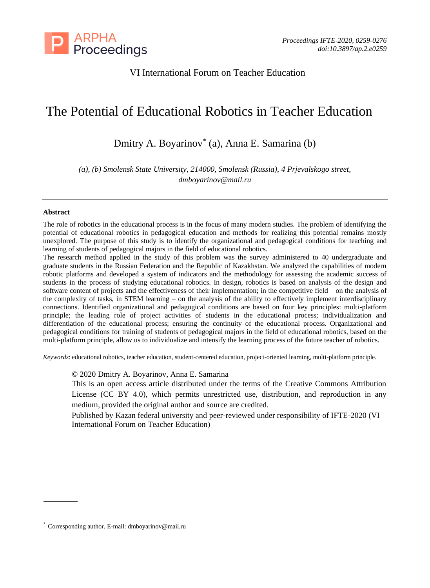

# VI International Forum on Teacher Education

# The Potential of Educational Robotics in Teacher Education

Dmitry A. Boyarinov\* (a), Anna E. Samarina (b)

*(a), (b) Smolensk State University, 214000, Smolensk (Russia), 4 Prjevalskogo street, dmboyarinov@mail.ru*

#### **Abstract**

The role of robotics in the educational process is in the focus of many modern studies. The problem of identifying the potential of educational robotics in pedagogical education and methods for realizing this potential remains mostly unexplored. The purpose of this study is to identify the organizational and pedagogical conditions for teaching and learning of students of pedagogical majors in the field of educational robotics.

The research method applied in the study of this problem was the survey administered to 40 undergraduate and graduate students in the Russian Federation and the Republic of Kazakhstan. We analyzed the capabilities of modern robotic platforms and developed a system of indicators and the methodology for assessing the academic success of students in the process of studying educational robotics. In design, robotics is based on analysis of the design and software content of projects and the effectiveness of their implementation; in the competitive field – on the analysis of the complexity of tasks, in STEM learning – on the analysis of the ability to effectively implement interdisciplinary connections. Identified organizational and pedagogical conditions are based on four key principles: multi-platform principle; the leading role of project activities of students in the educational process; individualization and differentiation of the educational process; ensuring the continuity of the educational process. Organizational and pedagogical conditions for training of students of pedagogical majors in the field of educational robotics, based on the multi-platform principle, allow us to individualize and intensify the learning process of the future teacher of robotics.

*Keywords*: educational robotics, teacher education, student-centered education, project-oriented learning, multi-platform principle.

© 2020 Dmitry A. Boyarinov, Anna E. Samarina

This is an open access article distributed under the terms of the Creative Commons Attribution License (CC BY 4.0), which permits unrestricted use, distribution, and reproduction in any medium, provided the original author and source are credited.

Published by Kazan federal university and peer-reviewed under responsibility of IFTE-2020 (VI International Forum on Teacher Education)

<sup>\*</sup> Corresponding author. E-mail: dmboyarinov@mail.ru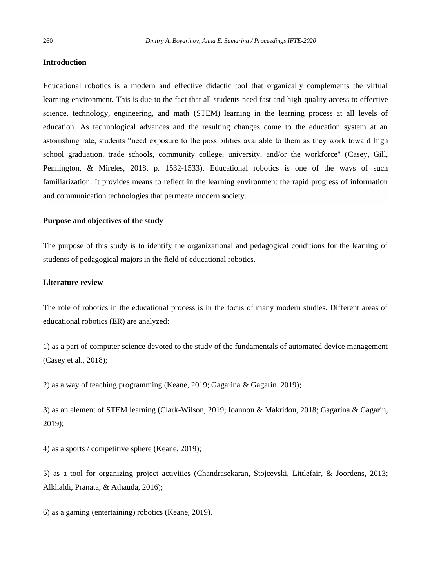#### **Introduction**

Educational robotics is a modern and effective didactic tool that organically complements the virtual learning environment. This is due to the fact that all students need fast and high-quality access to effective science, technology, engineering, and math (STEM) learning in the learning process at all levels of education. As technological advances and the resulting changes come to the education system at an astonishing rate, students "need exposure to the possibilities available to them as they work toward high school graduation, trade schools, community college, university, and/or the workforce" (Casey, Gill, Pennington, & Mireles, 2018, p. 1532-1533). Educational robotics is one of the ways of such familiarization. It provides means to reflect in the learning environment the rapid progress of information and communication technologies that permeate modern society.

### **Purpose and objectives of the study**

The purpose of this study is to identify the organizational and pedagogical conditions for the learning of students of pedagogical majors in the field of educational robotics.

# **Literature review**

The role of robotics in the educational process is in the focus of many modern studies. Different areas of educational robotics (ER) are analyzed:

1) as a part of computer science devoted to the study of the fundamentals of automated device management (Casey et al., 2018);

2) as a way of teaching programming (Keane, 2019; Gagarina & Gagarin, 2019);

3) as an element of STEM learning (Clark-Wilson, 2019; Ioannou & Makridou, 2018; Gagarina & Gagarin, 2019);

4) as a sports / competitive sphere (Keane, 2019);

5) as a tool for organizing project activities (Chandrasekaran, Stojcevski, Littlefair, & Joordens, 2013; Alkhaldi, Pranata, & Athauda, 2016);

6) as a gaming (entertaining) robotics (Keane, 2019).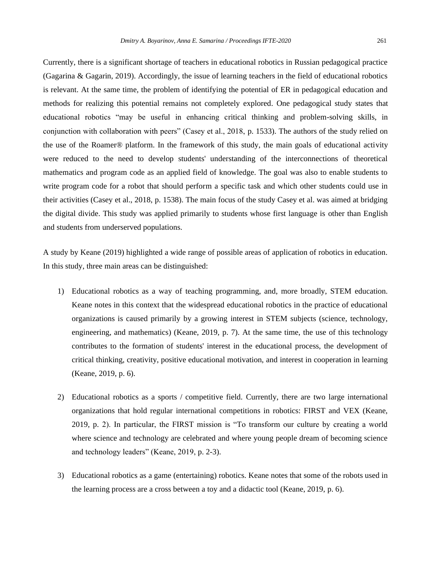Currently, there is a significant shortage of teachers in educational robotics in Russian pedagogical practice (Gagarina & Gagarin, 2019). Accordingly, the issue of learning teachers in the field of educational robotics is relevant. At the same time, the problem of identifying the potential of ER in pedagogical education and methods for realizing this potential remains not completely explored. One pedagogical study states that educational robotics "may be useful in enhancing critical thinking and problem-solving skills, in conjunction with collaboration with peers" (Casey et al., 2018, p. 1533). The authors of the study relied on the use of the Roamer® platform. In the framework of this study, the main goals of educational activity were reduced to the need to develop students' understanding of the interconnections of theoretical mathematics and program code as an applied field of knowledge. The goal was also to enable students to write program code for a robot that should perform a specific task and which other students could use in their activities (Casey et al., 2018, p. 1538). The main focus of the study Casey et al. was aimed at bridging the digital divide. This study was applied primarily to students whose first language is other than English and students from underserved populations.

A study by Keane (2019) highlighted a wide range of possible areas of application of robotics in education. In this study, three main areas can be distinguished:

- 1) Educational robotics as a way of teaching programming, and, more broadly, STEM education. Keane notes in this context that the widespread educational robotics in the practice of educational organizations is caused primarily by a growing interest in STEM subjects (science, technology, engineering, and mathematics) (Keane, 2019, p. 7). At the same time, the use of this technology contributes to the formation of students' interest in the educational process, the development of critical thinking, creativity, positive educational motivation, and interest in cooperation in learning (Keane, 2019, p. 6).
- 2) Educational robotics as a sports / competitive field. Currently, there are two large international organizations that hold regular international competitions in robotics: FIRST and VEX (Keane, 2019, p. 2). In particular, the FIRST mission is "To transform our culture by creating a world where science and technology are celebrated and where young people dream of becoming science and technology leaders" (Keane, 2019, p. 2-3).
- 3) Educational robotics as a game (entertaining) robotics. Keane notes that some of the robots used in the learning process are a cross between a toy and a didactic tool (Keane, 2019, p. 6).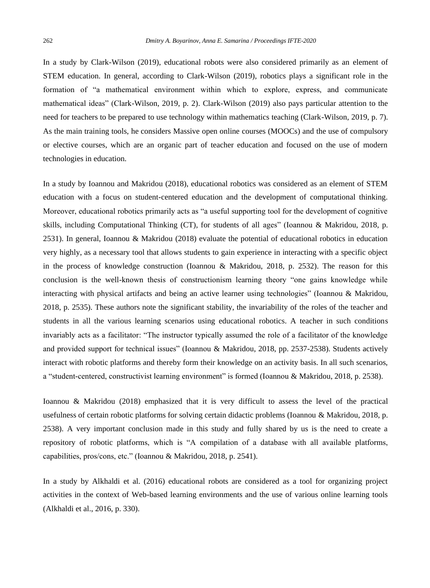In a study by Clark-Wilson (2019), educational robots were also considered primarily as an element of STEM education. In general, according to Clark-Wilson (2019), robotics plays a significant role in the formation of "a mathematical environment within which to explore, express, and communicate mathematical ideas" (Clark-Wilson, 2019, p. 2). Clark-Wilson (2019) also pays particular attention to the need for teachers to be prepared to use technology within mathematics teaching (Clark-Wilson, 2019, p. 7). As the main training tools, he considers Massive open online courses (MOOCs) and the use of compulsory or elective courses, which are an organic part of teacher education and focused on the use of modern technologies in education.

In a study by Ioannou and Makridou (2018), educational robotics was considered as an element of STEM education with a focus on student-centered education and the development of computational thinking. Moreover, educational robotics primarily acts as "a useful supporting tool for the development of cognitive skills, including Computational Thinking (CT), for students of all ages" (Ioannou & Makridou, 2018, p. 2531). In general, Ioannou & Makridou (2018) evaluate the potential of educational robotics in education very highly, as a necessary tool that allows students to gain experience in interacting with a specific object in the process of knowledge construction (Ioannou & Makridou, 2018, p. 2532). The reason for this conclusion is the well-known thesis of constructionism learning theory "one gains knowledge while interacting with physical artifacts and being an active learner using technologies" (Ioannou & Makridou, 2018, p. 2535). These authors note the significant stability, the invariability of the roles of the teacher and students in all the various learning scenarios using educational robotics. A teacher in such conditions invariably acts as a facilitator: "The instructor typically assumed the role of a facilitator of the knowledge and provided support for technical issues" (Ioannou & Makridou, 2018, pp. 2537-2538). Students actively interact with robotic platforms and thereby form their knowledge on an activity basis. In all such scenarios, a "student-centered, constructivist learning environment" is formed (Ioannou & Makridou, 2018, p. 2538).

Ioannou & Makridou (2018) emphasized that it is very difficult to assess the level of the practical usefulness of certain robotic platforms for solving certain didactic problems (Ioannou & Makridou, 2018, p. 2538). A very important conclusion made in this study and fully shared by us is the need to create a repository of robotic platforms, which is "A compilation of a database with all available platforms, capabilities, pros/cons, etc." (Ioannou & Makridou, 2018, p. 2541).

In a study by Alkhaldi et al. (2016) educational robots are considered as a tool for organizing project activities in the context of Web-based learning environments and the use of various online learning tools (Alkhaldi et al., 2016, p. 330).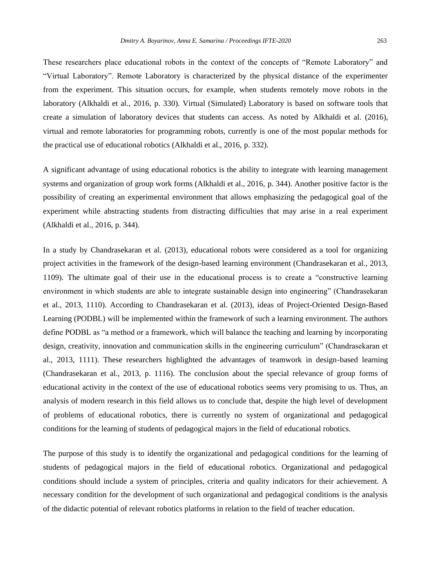These researchers place educational robots in the context of the concepts of "Remote Laboratory" and "Virtual Laboratory". Remote Laboratory is characterized by the physical distance of the experimenter from the experiment. This situation occurs, for example, when students remotely move robots in the laboratory (Alkhaldi et al., 2016, p. 330). Virtual (Simulated) Laboratory is based on software tools that create a simulation of laboratory devices that students can access. As noted by Alkhaldi et al. (2016), virtual and remote laboratories for programming robots, currently is one of the most popular methods for the practical use of educational robotics (Alkhaldi et al., 2016, p. 332).

A significant advantage of using educational robotics is the ability to integrate with learning management systems and organization of group work forms (Alkhaldi et al., 2016, p. 344). Another positive factor is the possibility of creating an experimental environment that allows emphasizing the pedagogical goal of the experiment while abstracting students from distracting difficulties that may arise in a real experiment (Alkhaldi et al., 2016, p. 344).

In a study by Chandrasekaran et al. (2013), educational robots were considered as a tool for organizing project activities in the framework of the design-based learning environment (Chandrasekaran et al., 2013, 1109). The ultimate goal of their use in the educational process is to create a "constructive learning environment in which students are able to integrate sustainable design into engineering" (Chandrasekaran et al., 2013, 1110). According to Chandrasekaran et al. (2013), ideas of Project-Oriented Design-Based Learning (PODBL) will be implemented within the framework of such a learning environment. The authors define PODBL as "a method or a framework, which will balance the teaching and learning by incorporating design, creativity, innovation and communication skills in the engineering curriculum" (Chandrasekaran et al., 2013, 1111). These researchers highlighted the advantages of teamwork in design-based learning (Chandrasekaran et al., 2013, p. 1116). The conclusion about the special relevance of group forms of educational activity in the context of the use of educational robotics seems very promising to us. Thus, an analysis of modern research in this field allows us to conclude that, despite the high level of development of problems of educational robotics, there is currently no system of organizational and pedagogical conditions for the learning of students of pedagogical majors in the field of educational robotics.

The purpose of this study is to identify the organizational and pedagogical conditions for the learning of students of pedagogical majors in the field of educational robotics. Organizational and pedagogical conditions should include a system of principles, criteria and quality indicators for their achievement. A necessary condition for the development of such organizational and pedagogical conditions is the analysis of the didactic potential of relevant robotics platforms in relation to the field of teacher education.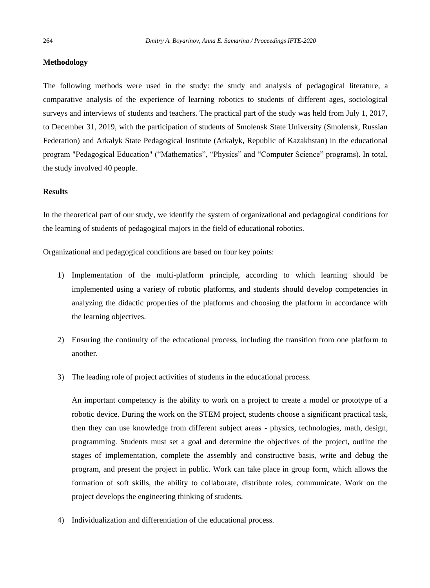#### **Methodology**

The following methods were used in the study: the study and analysis of pedagogical literature, a comparative analysis of the experience of learning robotics to students of different ages, sociological surveys and interviews of students and teachers. The practical part of the study was held from July 1, 2017, to December 31, 2019, with the participation of students of Smolensk State University (Smolensk, Russian Federation) and Arkalyk State Pedagogical Institute (Arkalyk, Republic of Kazakhstan) in the educational program "Pedagogical Education" ("Mathematics", "Physics" and "Computer Science" programs). In total, the study involved 40 people.

#### **Results**

In the theoretical part of our study, we identify the system of organizational and pedagogical conditions for the learning of students of pedagogical majors in the field of educational robotics.

Organizational and pedagogical conditions are based on four key points:

- 1) Implementation of the multi-platform principle, according to which learning should be implemented using a variety of robotic platforms, and students should develop competencies in analyzing the didactic properties of the platforms and choosing the platform in accordance with the learning objectives.
- 2) Ensuring the continuity of the educational process, including the transition from one platform to another.
- 3) The leading role of project activities of students in the educational process.

An important competency is the ability to work on a project to create a model or prototype of a robotic device. During the work on the STEM project, students choose a significant practical task, then they can use knowledge from different subject areas - physics, technologies, math, design, programming. Students must set a goal and determine the objectives of the project, outline the stages of implementation, complete the assembly and constructive basis, write and debug the program, and present the project in public. Work can take place in group form, which allows the formation of soft skills, the ability to collaborate, distribute roles, communicate. Work on the project develops the engineering thinking of students.

4) Individualization and differentiation of the educational process.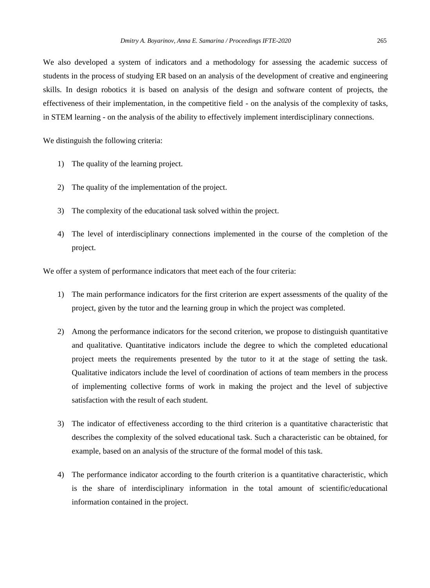We also developed a system of indicators and a methodology for assessing the academic success of students in the process of studying ER based on an analysis of the development of creative and engineering skills. In design robotics it is based on analysis of the design and software content of projects, the effectiveness of their implementation, in the competitive field - on the analysis of the complexity of tasks, in STEM learning - on the analysis of the ability to effectively implement interdisciplinary connections.

We distinguish the following criteria:

- 1) The quality of the learning project.
- 2) The quality of the implementation of the project.
- 3) The complexity of the educational task solved within the project.
- 4) The level of interdisciplinary connections implemented in the course of the completion of the project.

We offer a system of performance indicators that meet each of the four criteria:

- 1) The main performance indicators for the first criterion are expert assessments of the quality of the project, given by the tutor and the learning group in which the project was completed.
- 2) Among the performance indicators for the second criterion, we propose to distinguish quantitative and qualitative. Quantitative indicators include the degree to which the completed educational project meets the requirements presented by the tutor to it at the stage of setting the task. Qualitative indicators include the level of coordination of actions of team members in the process of implementing collective forms of work in making the project and the level of subjective satisfaction with the result of each student.
- 3) The indicator of effectiveness according to the third criterion is a quantitative characteristic that describes the complexity of the solved educational task. Such a characteristic can be obtained, for example, based on an analysis of the structure of the formal model of this task.
- 4) The performance indicator according to the fourth criterion is a quantitative characteristic, which is the share of interdisciplinary information in the total amount of scientific/educational information contained in the project.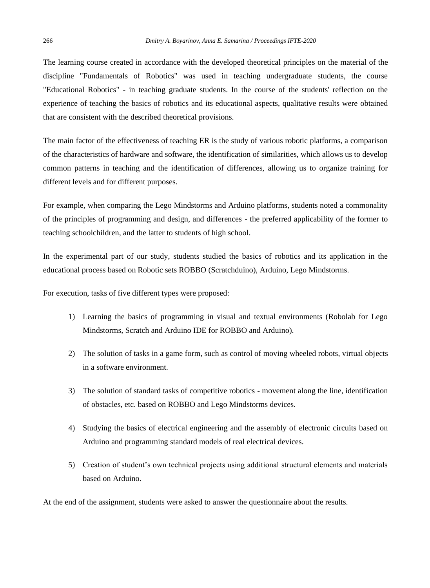The learning course created in accordance with the developed theoretical principles on the material of the discipline "Fundamentals of Robotics" was used in teaching undergraduate students, the course "Educational Robotics" - in teaching graduate students. In the course of the students' reflection on the experience of teaching the basics of robotics and its educational aspects, qualitative results were obtained that are consistent with the described theoretical provisions.

The main factor of the effectiveness of teaching ER is the study of various robotic platforms, a comparison of the characteristics of hardware and software, the identification of similarities, which allows us to develop common patterns in teaching and the identification of differences, allowing us to organize training for different levels and for different purposes.

For example, when comparing the Lego Mindstorms and Arduino platforms, students noted a commonality of the principles of programming and design, and differences - the preferred applicability of the former to teaching schoolchildren, and the latter to students of high school.

In the experimental part of our study, students studied the basics of robotics and its application in the educational process based on Robotic sets ROBBO (Scratchduino), Arduino, Lego Mindstorms.

For execution, tasks of five different types were proposed:

- 1) Learning the basics of programming in visual and textual environments (Robolab for Lego Mindstorms, Scratch and Arduino IDE for ROBBO and Arduino).
- 2) The solution of tasks in a game form, such as control of moving wheeled robots, virtual objects in a software environment.
- 3) The solution of standard tasks of competitive robotics movement along the line, identification of obstacles, etc. based on ROBBO and Lego Mindstorms devices.
- 4) Studying the basics of electrical engineering and the assembly of electronic circuits based on Arduino and programming standard models of real electrical devices.
- 5) Creation of student's own technical projects using additional structural elements and materials based on Arduino.

At the end of the assignment, students were asked to answer the questionnaire about the results.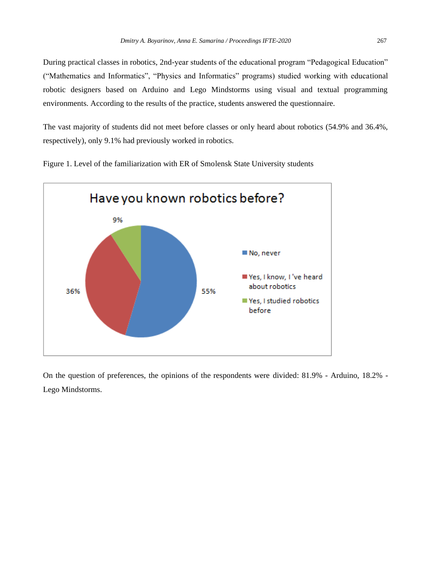During practical classes in robotics, 2nd-year students of the educational program "Pedagogical Education" ("Mathematics and Informatics", "Physics and Informatics" programs) studied working with educational robotic designers based on Arduino and Lego Mindstorms using visual and textual programming environments. According to the results of the practice, students answered the questionnaire.

The vast majority of students did not meet before classes or only heard about robotics (54.9% and 36.4%, respectively), only 9.1% had previously worked in robotics.



Figure 1. Level of the familiarization with ER of Smolensk State University students

On the question of preferences, the opinions of the respondents were divided: 81.9% - Arduino, 18.2% - Lego Mindstorms.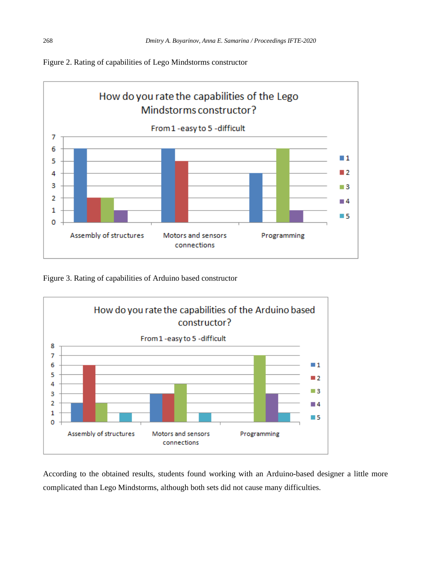

# Figure 2. Rating of capabilities of Lego Mindstorms constructor

Figure 3. Rating of capabilities of Arduino based constructor



According to the obtained results, students found working with an Arduino-based designer a little more complicated than Lego Mindstorms, although both sets did not cause many difficulties.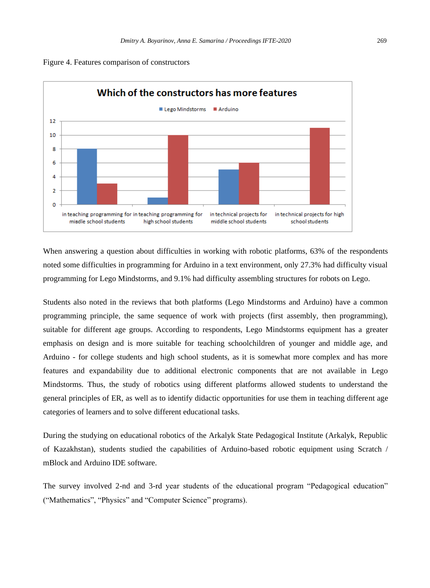



When answering a question about difficulties in working with robotic platforms, 63% of the respondents noted some difficulties in programming for Arduino in a text environment, only 27.3% had difficulty visual programming for Lego Mindstorms, and 9.1% had difficulty assembling structures for robots on Lego.

Students also noted in the reviews that both platforms (Lego Mindstorms and Arduino) have a common programming principle, the same sequence of work with projects (first assembly, then programming), suitable for different age groups. According to respondents, Lego Mindstorms equipment has a greater emphasis on design and is more suitable for teaching schoolchildren of younger and middle age, and Arduino - for college students and high school students, as it is somewhat more complex and has more features and expandability due to additional electronic components that are not available in Lego Mindstorms. Thus, the study of robotics using different platforms allowed students to understand the general principles of ER, as well as to identify didactic opportunities for use them in teaching different age categories of learners and to solve different educational tasks.

During the studying on educational robotics of the Arkalyk State Pedagogical Institute (Arkalyk, Republic of Kazakhstan), students studied the capabilities of Arduino-based robotic equipment using Scratch / mBlock and Arduino IDE software.

The survey involved 2-nd and 3-rd year students of the educational program "Pedagogical education" ("Mathematics", "Physics" and "Computer Science" programs).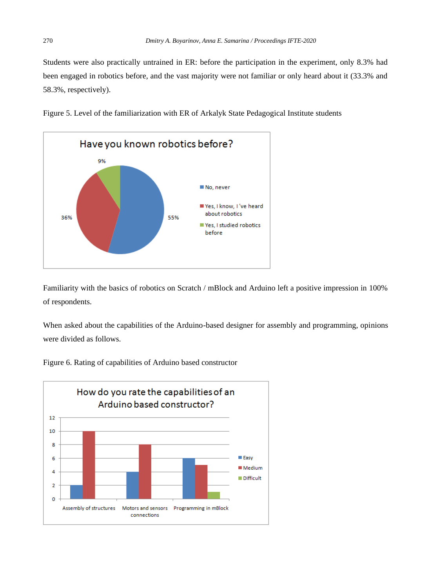Students were also practically untrained in ER: before the participation in the experiment, only 8.3% had been engaged in robotics before, and the vast majority were not familiar or only heard about it (33.3% and 58.3%, respectively).

Figure 5. Level of the familiarization with ER of Arkalyk State Pedagogical Institute students



Familiarity with the basics of robotics on Scratch / mBlock and Arduino left a positive impression in 100% of respondents.

When asked about the capabilities of the Arduino-based designer for assembly and programming, opinions were divided as follows.

Figure 6. Rating of capabilities of Arduino based constructor

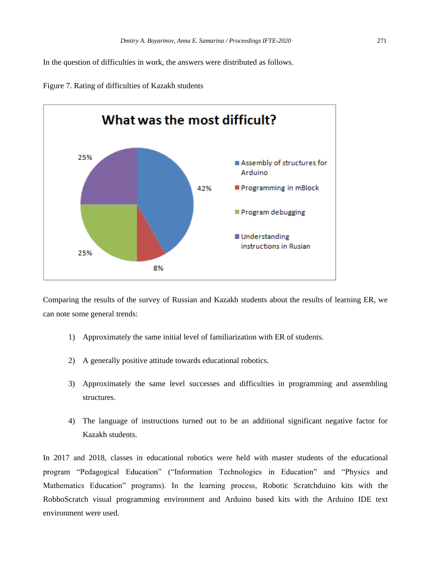In the question of difficulties in work, the answers were distributed as follows.





Comparing the results of the survey of Russian and Kazakh students about the results of learning ER, we can note some general trends:

- 1) Approximately the same initial level of familiarization with ER of students.
- 2) A generally positive attitude towards educational robotics.
- 3) Approximately the same level successes and difficulties in programming and assembling structures.
- 4) The language of instructions turned out to be an additional significant negative factor for Kazakh students.

In 2017 and 2018, classes in educational robotics were held with master students of the educational program "Pedagogical Education" ("Information Technologies in Education" and "Physics and Mathematics Education" programs). In the learning process, Robotic Scratchduino kits with the RobboScratch visual programming environment and Arduino based kits with the Arduino IDE text environment were used.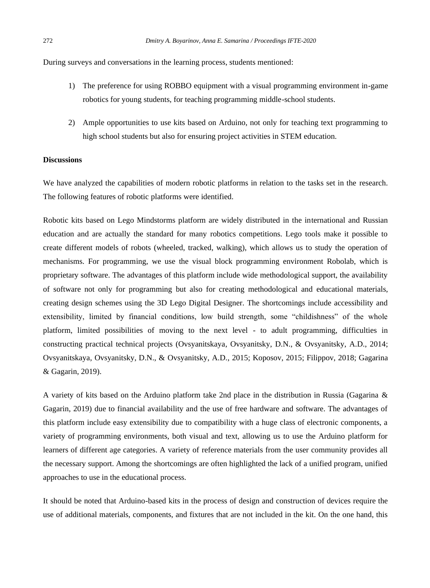During surveys and conversations in the learning process, students mentioned:

- 1) The preference for using ROBBO equipment with a visual programming environment in-game robotics for young students, for teaching programming middle-school students.
- 2) Ample opportunities to use kits based on Arduino, not only for teaching text programming to high school students but also for ensuring project activities in STEM education.

# **Discussions**

We have analyzed the capabilities of modern robotic platforms in relation to the tasks set in the research. The following features of robotic platforms were identified.

Robotic kits based on Lego Mindstorms platform are widely distributed in the international and Russian education and are actually the standard for many robotics competitions. Lego tools make it possible to create different models of robots (wheeled, tracked, walking), which allows us to study the operation of mechanisms. For programming, we use the visual block programming environment Robolab, which is proprietary software. The advantages of this platform include wide methodological support, the availability of software not only for programming but also for creating methodological and educational materials, creating design schemes using the 3D Lego Digital Designer. The shortcomings include accessibility and extensibility, limited by financial conditions, low build strength, some "childishness" of the whole platform, limited possibilities of moving to the next level - to adult programming, difficulties in constructing practical technical projects (Ovsyanitskaya, Ovsyanitsky, D.N., & Ovsyanitsky, A.D., 2014; Ovsyanitskaya, Ovsyanitsky, D.N., & Ovsyanitsky, A.D., 2015; Koposov, 2015; Filippov, 2018; Gagarina & Gagarin, 2019).

A variety of kits based on the Arduino platform take 2nd place in the distribution in Russia (Gagarina & Gagarin, 2019) due to financial availability and the use of free hardware and software. The advantages of this platform include easy extensibility due to compatibility with a huge class of electronic components, a variety of programming environments, both visual and text, allowing us to use the Arduino platform for learners of different age categories. A variety of reference materials from the user community provides all the necessary support. Among the shortcomings are often highlighted the lack of a unified program, unified approaches to use in the educational process.

It should be noted that Arduino-based kits in the process of design and construction of devices require the use of additional materials, components, and fixtures that are not included in the kit. On the one hand, this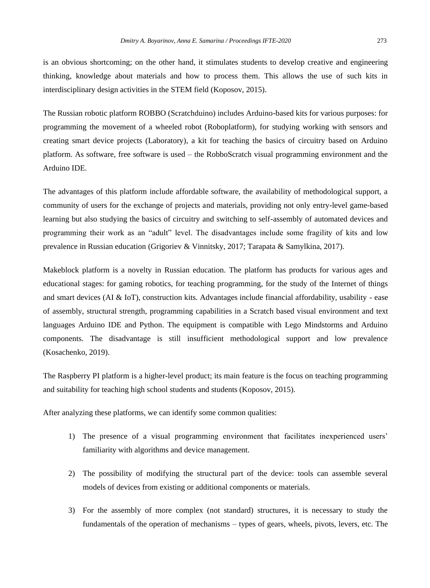is an obvious shortcoming; on the other hand, it stimulates students to develop creative and engineering thinking, knowledge about materials and how to process them. This allows the use of such kits in interdisciplinary design activities in the STEM field (Koposov, 2015).

The Russian robotic platform ROBBO (Scratchduino) includes Arduino-based kits for various purposes: for programming the movement of a wheeled robot (Roboplatform), for studying working with sensors and creating smart device projects (Laboratory), a kit for teaching the basics of circuitry based on Arduino platform. As software, free software is used – the RobboScratch visual programming environment and the Arduino IDE.

The advantages of this platform include affordable software, the availability of methodological support, a community of users for the exchange of projects and materials, providing not only entry-level game-based learning but also studying the basics of circuitry and switching to self-assembly of automated devices and programming their work as an "adult" level. The disadvantages include some fragility of kits and low prevalence in Russian education (Grigoriev & Vinnitsky, 2017; Tarapata & Samylkina, 2017).

Makeblock platform is a novelty in Russian education. The platform has products for various ages and educational stages: for gaming robotics, for teaching programming, for the study of the Internet of things and smart devices (AI & IoT), construction kits. Advantages include financial affordability, usability - ease of assembly, structural strength, programming capabilities in a Scratch based visual environment and text languages Arduino IDE and Python. The equipment is compatible with Lego Mindstorms and Arduino components. The disadvantage is still insufficient methodological support and low prevalence (Kosachenko, 2019).

The Raspberry PI platform is a higher-level product; its main feature is the focus on teaching programming and suitability for teaching high school students and students (Koposov, 2015).

After analyzing these platforms, we can identify some common qualities:

- 1) The presence of a visual programming environment that facilitates inexperienced users' familiarity with algorithms and device management.
- 2) The possibility of modifying the structural part of the device: tools can assemble several models of devices from existing or additional components or materials.
- 3) For the assembly of more complex (not standard) structures, it is necessary to study the fundamentals of the operation of mechanisms – types of gears, wheels, pivots, levers, etc. The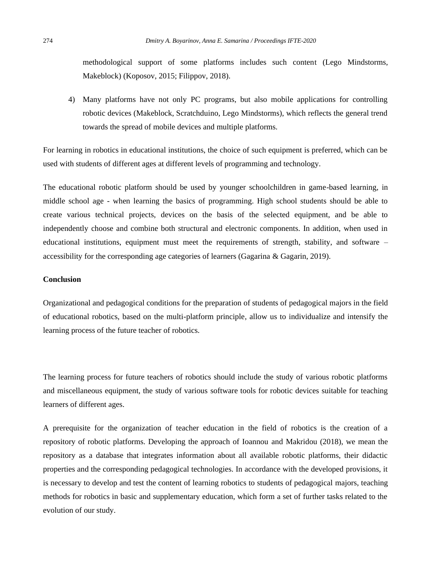methodological support of some platforms includes such content (Lego Mindstorms, Makeblock) (Koposov, 2015; Filippov, 2018).

4) Many platforms have not only PC programs, but also mobile applications for controlling robotic devices (Makeblock, Scratchduino, Lego Mindstorms), which reflects the general trend towards the spread of mobile devices and multiple platforms.

For learning in robotics in educational institutions, the choice of such equipment is preferred, which can be used with students of different ages at different levels of programming and technology.

The educational robotic platform should be used by younger schoolchildren in game-based learning, in middle school age - when learning the basics of programming. High school students should be able to create various technical projects, devices on the basis of the selected equipment, and be able to independently choose and combine both structural and electronic components. In addition, when used in educational institutions, equipment must meet the requirements of strength, stability, and software – accessibility for the corresponding age categories of learners (Gagarina & Gagarin, 2019).

#### **Conclusion**

Organizational and pedagogical conditions for the preparation of students of pedagogical majors in the field of educational robotics, based on the multi-platform principle, allow us to individualize and intensify the learning process of the future teacher of robotics.

The learning process for future teachers of robotics should include the study of various robotic platforms and miscellaneous equipment, the study of various software tools for robotic devices suitable for teaching learners of different ages.

A prerequisite for the organization of teacher education in the field of robotics is the creation of a repository of robotic platforms. Developing the approach of Ioannou and Makridou (2018), we mean the repository as a database that integrates information about all available robotic platforms, their didactic properties and the corresponding pedagogical technologies. In accordance with the developed provisions, it is necessary to develop and test the content of learning robotics to students of pedagogical majors, teaching methods for robotics in basic and supplementary education, which form a set of further tasks related to the evolution of our study.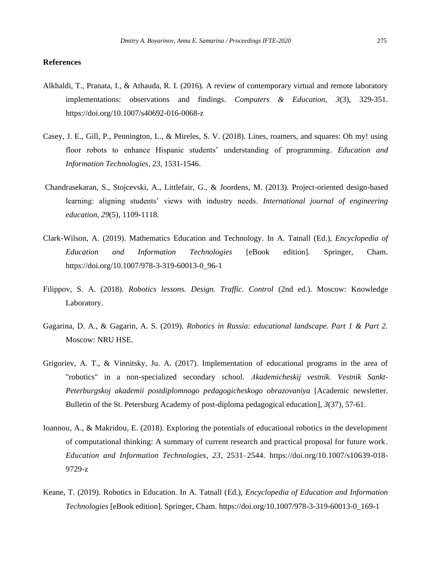#### **References**

- Alkhaldi, T., Pranata, I., & Athauda, R. I. (2016). A review of contemporary virtual and remote laboratory implementations: observations and findings. *Computers & Education, 3*(3), 329-351. https://doi.org/10.1007/s40692-016-0068-z
- Casey, J. E., Gill, P., Pennington, L., & Mireles, S. V. (2018). Lines, roamers, and squares: Oh my! using floor robots to enhance Hispanic students' understanding of programming. *Education and Information Technologies, 23*, 1531-1546.
- Chandrasekaran, S., Stojcevski, A., Littlefair, G., & Joordens, M. (2013). Project-oriented design-based learning: aligning students' views with industry needs. *International journal of engineering education*, *29*(5), 1109-1118.
- Clark-Wilson, A. (2019). Mathematics Education and Technology. In A. Tatnall (Ed.), *Encyclopedia of Education and Information Technologies* [eBook edition]. Springer, Cham. https://doi.org/10.1007/978-3-319-60013-0\_96-1
- Filippov, S. A. (2018). *Robotics lessons. Design. Traffic. Control* (2nd ed.). Moscow: Knowledge Laboratory.
- Gagarina, D. A., & Gagarin, A. S. (2019). *Robotics in Russia: educational landscape. Part 1 & Part 2.* Moscow: NRU HSE.
- Grigoriev, A. T., & Vinnitsky, Ju. A. (2017). Implementation of educational programs in the area of "robotics" in a non-specialized secondary school. *Аkademicheskij vestnik. Vestnik Sankt-Peterburgskoj akademii postdiplomnogo pedagogicheskogo obrazovaniya* [Academic newsletter. Bulletin of the St. Petersburg Academy of post-diploma pedagogical education], *3*[\(37\),](https://elibrary.ru/contents.asp?id=34548315&selid=30634473) 57-61.
- Ioannou, A., & Makridou, E. (2018). Exploring the potentials of educational robotics in the development of computational thinking: A summary of current research and practical proposal for future work. *Education and Information Technologies, 23*, 2531–2544. [https://doi.org/10.1007/s10639-018-](https://doi.org/10.1007/s10639-018-9729-z) [9729-z](https://doi.org/10.1007/s10639-018-9729-z)
- Keane, T. (2019). Robotics in Education. In A. Tatnall (Ed.), *Encyclopedia of Education and Information Technologies* [eBook edition]. Springer, Cham. https://doi.org/10.1007/978-3-319-60013-0\_169-1